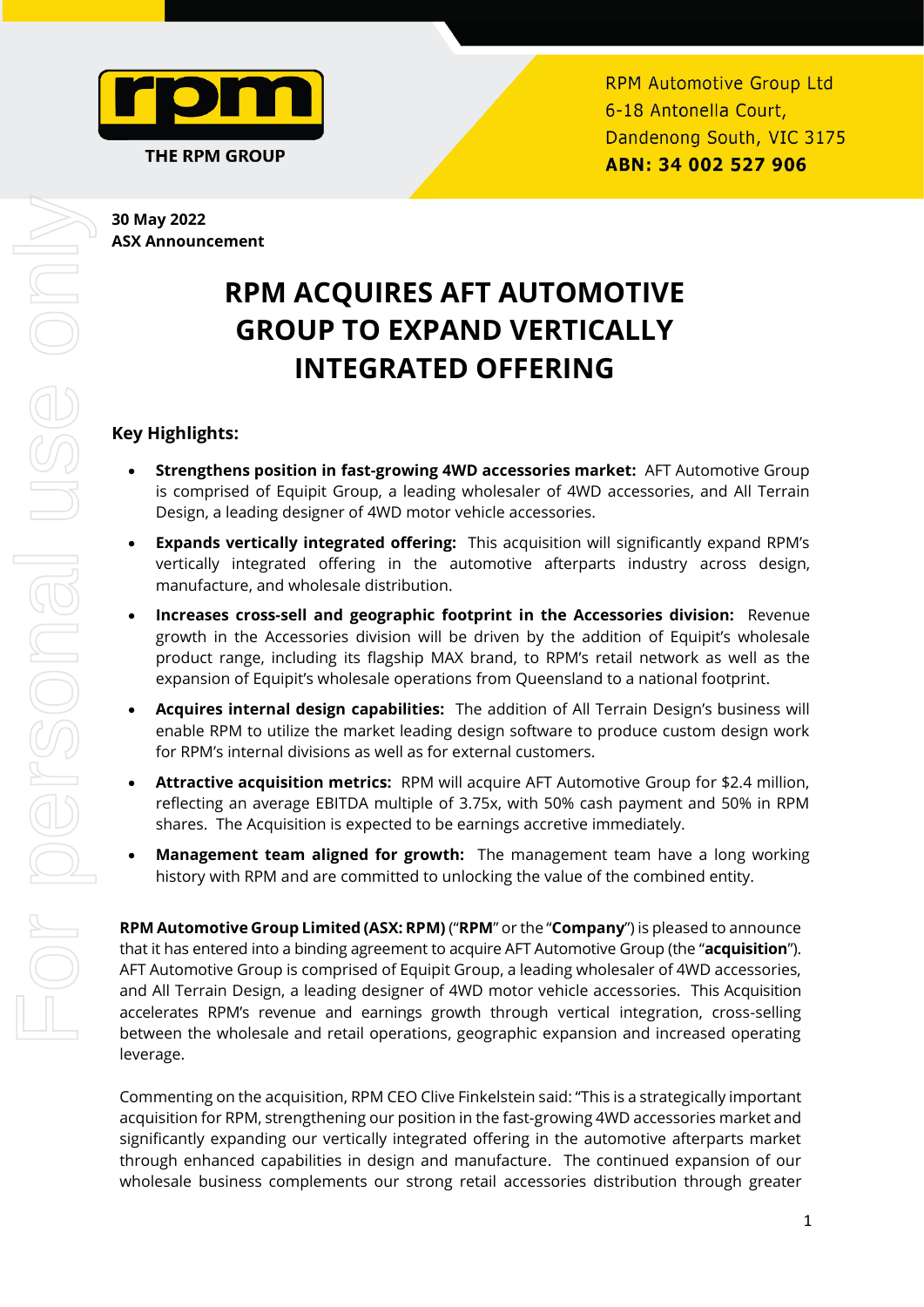

# **30 May 2022 ASX Announcement**

# **RPM ACQUIRES AFT AUTOMOTIVE GROUP TO EXPAND VERTICALLY INTEGRATED OFFERING**

# **Key Highlights:**

- **Strengthens position in fast-growing 4WD accessories market:** AFT Automotive Group is comprised of Equipit Group, a leading wholesaler of 4WD accessories, and All Terrain Design, a leading designer of 4WD motor vehicle accessories.
- **Expands vertically integrated offering:** This acquisition will significantly expand RPM's vertically integrated offering in the automotive afterparts industry across design, manufacture, and wholesale distribution.
- **Increases cross-sell and geographic footprint in the Accessories division:** Revenue growth in the Accessories division will be driven by the addition of Equipit's wholesale product range, including its flagship MAX brand, to RPM's retail network as well as the expansion of Equipit's wholesale operations from Queensland to a national footprint.
- **Acquires internal design capabilities:** The addition of All Terrain Design's business will enable RPM to utilize the market leading design software to produce custom design work for RPM's internal divisions as well as for external customers.
- **Attractive acquisition metrics:** RPM will acquire AFT Automotive Group for \$2.4 million, reflecting an average EBITDA multiple of 3.75x, with 50% cash payment and 50% in RPM shares. The Acquisition is expected to be earnings accretive immediately.
- **Management team aligned for growth:** The management team have a long working history with RPM and are committed to unlocking the value of the combined entity.

**RPM Automotive Group Limited (ASX: RPM)** ("**RPM**" or the "**Company**") is pleased to announce that it has entered into a binding agreement to acquire AFT Automotive Group (the "**acquisition**"). AFT Automotive Group is comprised of Equipit Group, a leading wholesaler of 4WD accessories, and All Terrain Design, a leading designer of 4WD motor vehicle accessories. This Acquisition accelerates RPM's revenue and earnings growth through vertical integration, cross-selling between the wholesale and retail operations, geographic expansion and increased operating leverage.

Commenting on the acquisition, RPM CEO Clive Finkelstein said: "This is a strategically important acquisition for RPM, strengthening our position in the fast-growing 4WD accessories market and significantly expanding our vertically integrated offering in the automotive afterparts market through enhanced capabilities in design and manufacture. The continued expansion of our wholesale business complements our strong retail accessories distribution through greater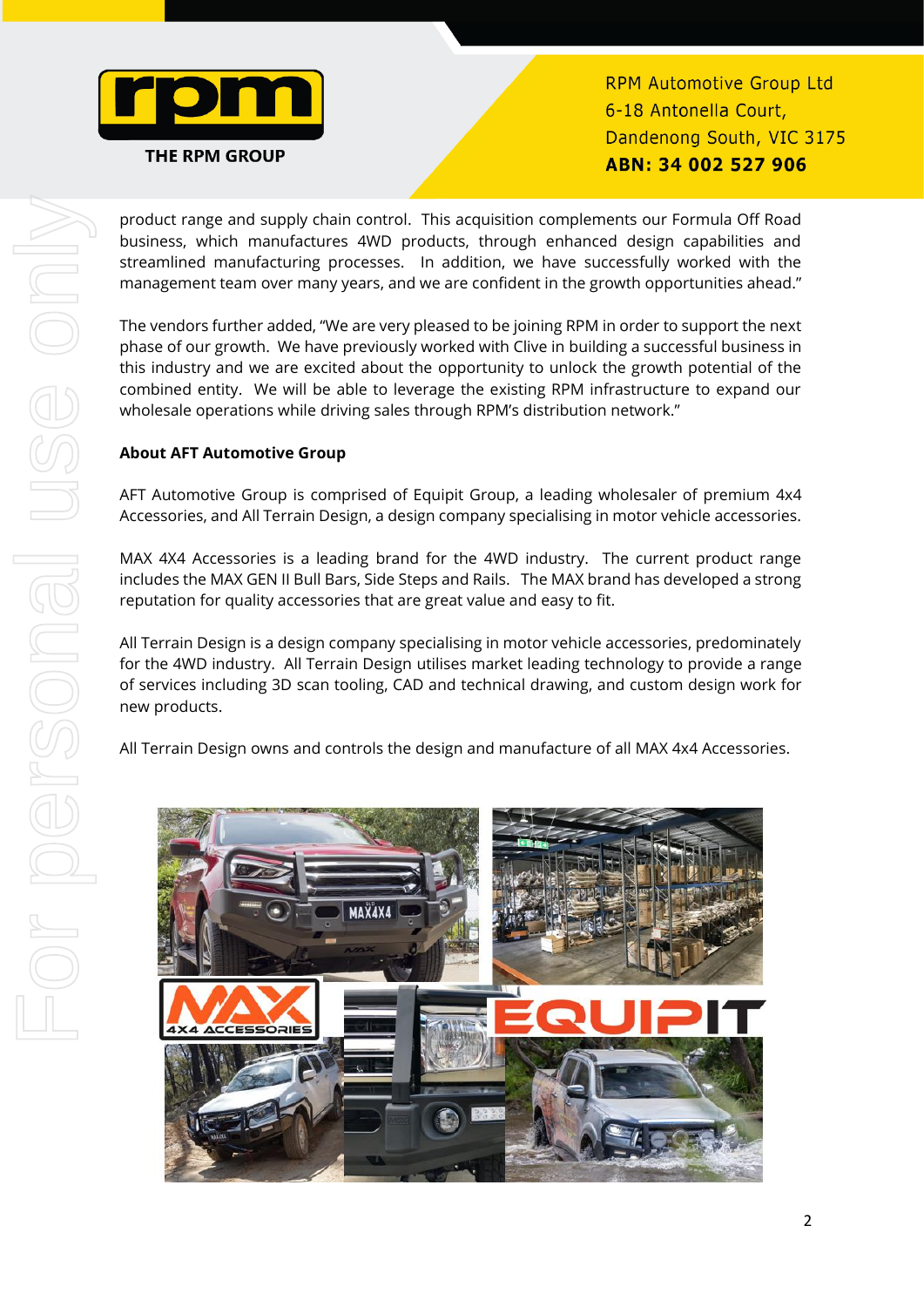

**RPM Automotive Group Ltd** 6-18 Antonella Court, Dandenong South, VIC 3175 ABN: 34 002 527 906

product range and supply chain control. This acquisition complements our Formula Off Road business, which manufactures 4WD products, through enhanced design capabilities and streamlined manufacturing processes. In addition, we have successfully worked with the management team over many years, and we are confident in the growth opportunities ahead."

The vendors further added, "We are very pleased to be joining RPM in order to support the next phase of our growth. We have previously worked with Clive in building a successful business in this industry and we are excited about the opportunity to unlock the growth potential of the combined entity. We will be able to leverage the existing RPM infrastructure to expand our wholesale operations while driving sales through RPM's distribution network."

# **About AFT Automotive Group**

AFT Automotive Group is comprised of Equipit Group, a leading wholesaler of premium 4x4 Accessories, and All Terrain Design, a design company specialising in motor vehicle accessories.

MAX 4X4 Accessories is a leading brand for the 4WD industry. The current product range includes the MAX GEN II Bull Bars, Side Steps and Rails. The MAX brand has developed a strong reputation for quality accessories that are great value and easy to fit.

All Terrain Design is a design company specialising in motor vehicle accessories, predominately for the 4WD industry. All Terrain Design utilises market leading technology to provide a range of services including 3D scan tooling, CAD and technical drawing, and custom design work for new products.

All Terrain Design owns and controls the design and manufacture of all MAX 4x4 Accessories.

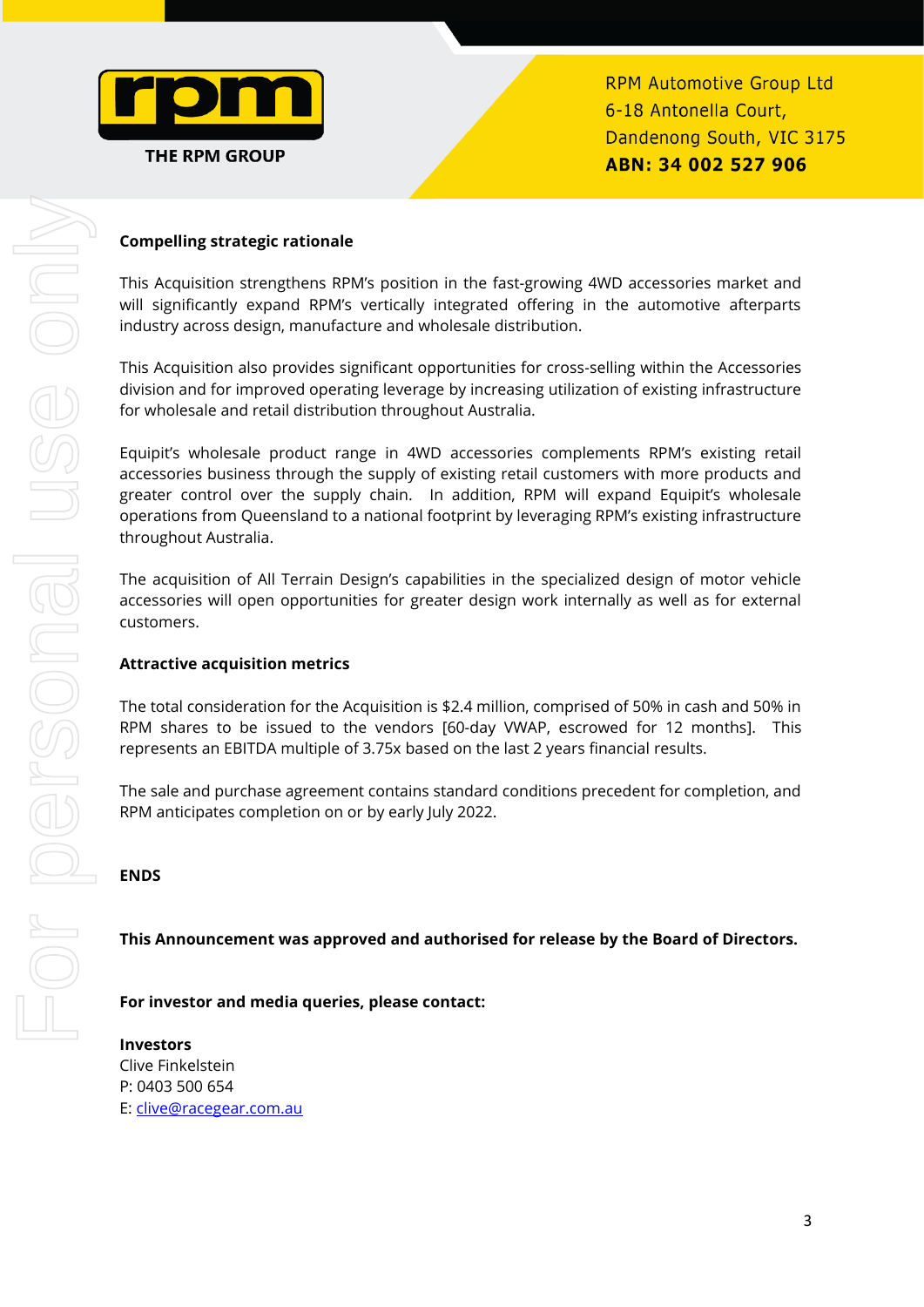

**RPM Automotive Group Ltd** 6-18 Antonella Court, Dandenong South, VIC 3175 ABN: 34 002 527 906

# **Compelling strategic rationale**

This Acquisition strengthens RPM's position in the fast-growing 4WD accessories market and will significantly expand RPM's vertically integrated offering in the automotive afterparts industry across design, manufacture and wholesale distribution.

This Acquisition also provides significant opportunities for cross-selling within the Accessories division and for improved operating leverage by increasing utilization of existing infrastructure for wholesale and retail distribution throughout Australia.

Equipit's wholesale product range in 4WD accessories complements RPM's existing retail accessories business through the supply of existing retail customers with more products and greater control over the supply chain. In addition, RPM will expand Equipit's wholesale operations from Queensland to a national footprint by leveraging RPM's existing infrastructure throughout Australia.

The acquisition of All Terrain Design's capabilities in the specialized design of motor vehicle accessories will open opportunities for greater design work internally as well as for external customers.

#### **Attractive acquisition metrics**

The total consideration for the Acquisition is \$2.4 million, comprised of 50% in cash and 50% in RPM shares to be issued to the vendors [60-day VWAP, escrowed for 12 months]. This represents an EBITDA multiple of 3.75x based on the last 2 years financial results.

The sale and purchase agreement contains standard conditions precedent for completion, and RPM anticipates completion on or by early July 2022.

### **ENDS**

#### **This Announcement was approved and authorised for release by the Board of Directors.**

**For investor and media queries, please contact:**

**Investors** Clive Finkelstein P: 0403 500 654 E: [clive@racegear.com.au](about:blank)